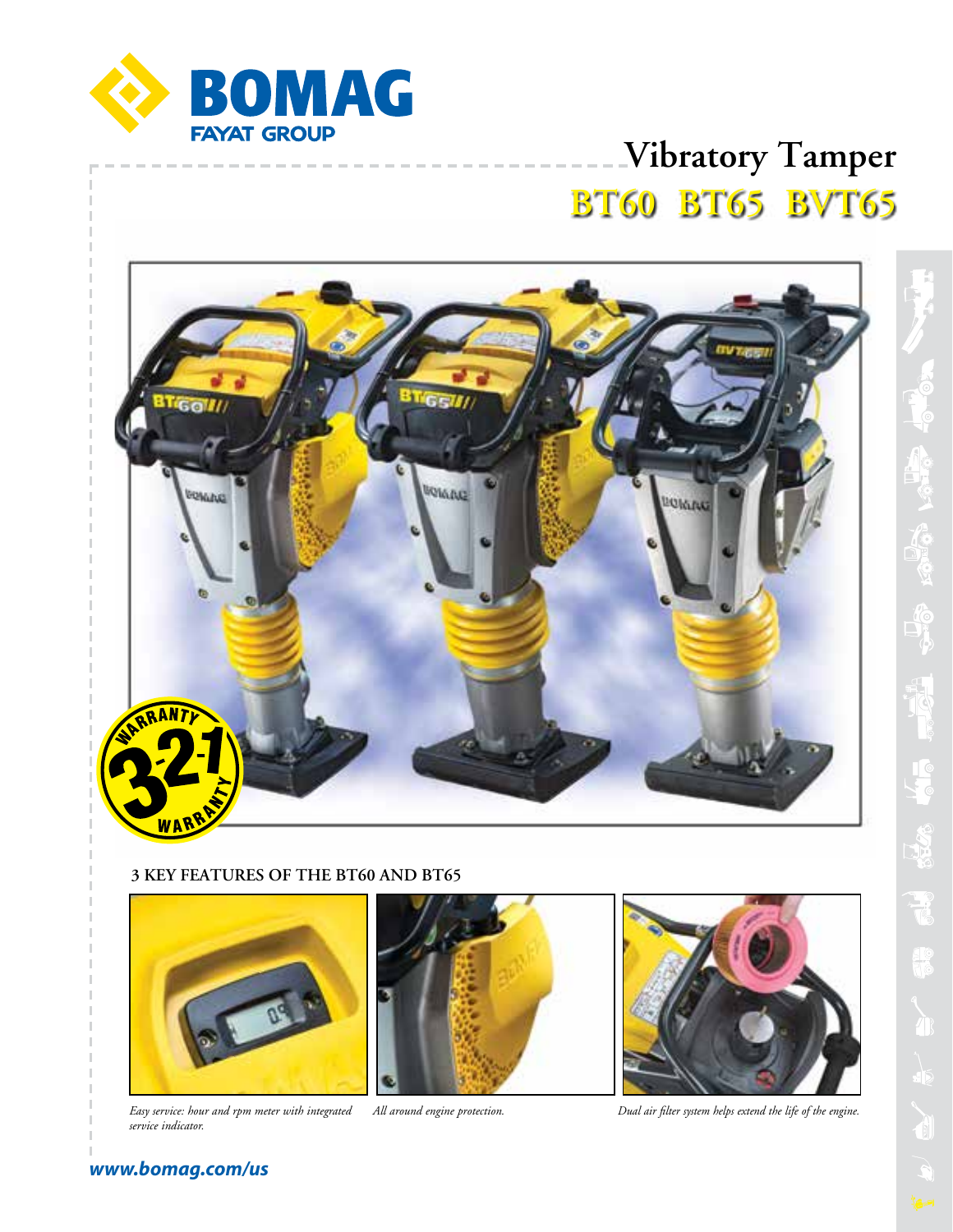

# **Vibratory Tamper BT60 BT65 BVT65**



### **3 KEY FEATURES OF THE BT60 AND BT65**



*Easy service: hour and rpm meter with integrated All around engine protection. service indicator.*





*Dual air filter system helps extend the life of the engine.*

# **RECORD NATION** 10<br>10

### *www.bomag.com/us*